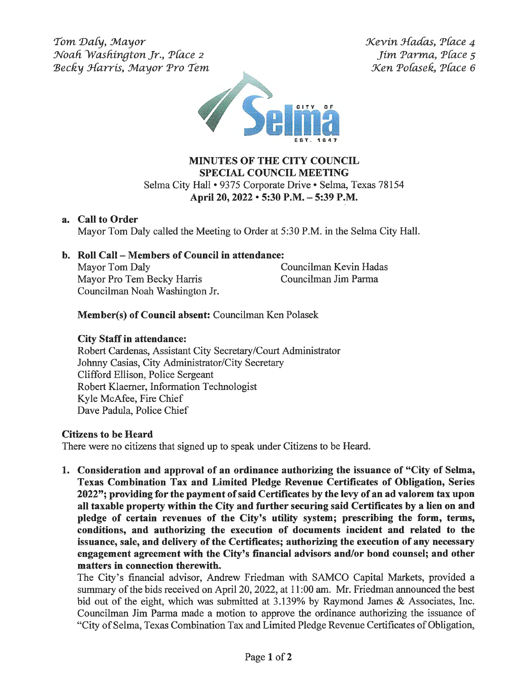Tom Daly, Mayor Noah Washington Jr., Place 2 Becky Harris, Mayor Pro Tem Xevin Jfadas, P(ace 4 Jim Parma, P(ace *s*  Xen Pofasefi, P(ace 6



## **MINUTES OF THE CITY COUNCIL SPECIAL COUNCIL MEETING**  Selma City Hall• 9375 Corporate Drive • Selma, Texas 78154 **April 20, 2022** • **5:30 P.M.** - **5:39 P.M.**

## **a. Call to Order**

Mayor Tom Daly called the Meeting to Order at 5:30 P.M. in the Selma City Hall.

# **b. Roll Call** - **Members of Council in attendance:**

Mayor Tom Daly Councilman Kevin Hadas Mayor Pro Tern Becky Harris Councilman Jim Parma Councilman Noah Washington Jr.

# **Member(s) of Council absent:** Councilman Ken Polasek

## **City Staff in attendance:**

Robert Cardenas, Assistant City Secretary/Court Administrator Johnny Casias, City Administrator/City Secretary Clifford Ellison, Police Sergeant Robert Klaerner, Information Technologist Kyle McAfee, Fire Chief Dave Padula, Police Chief

## **Citizens to be Heard**

There were no citizens that signed up to speak under Citizens to be Heard.

**1. Consideration and approval of an ordinance authorizing the issuance of "City of Selma, Texas Combination Tax and Limited Pledge Revenue Certificates of Obligation, Series 2022"; providing for the payment of said Certificates by the levy of an ad valorem tax upon all taxable property within the City and further securing said Certificates by a lien on and pledge of certain revenues of the City's utility system; prescribing the form, terms, conditions, and authorizing the execution of documents incident and related to the issuance, sale, and delivery of the Certificates; authorizing the execution of any necessary engagement agreement with the City's financial advisors and/or bond counsel; and other matters in connection therewith.** 

The City's financial advisor, Andrew Friedman with SAMCO Capital Markets, provided a summary of the bids received on April 20, 2022, at 11 :00 am. Mr. Friedman announced the best bid out of the eight, which was submitted at 3.139% by Raymond James & Associates, Inc. Councilman Jim Parma made a motion to approve the ordinance authorizing the issuance of "City of Selma, Texas Combination Tax and Limited Pledge Revenue Certificates of Obligation,